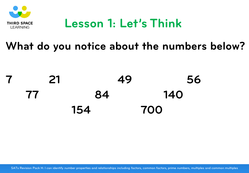

## **Lesson 1: Let's Think**

#### **What do you notice about the numbers below?**

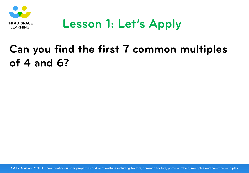

# **Lesson 1: Let's Apply**

## **Can you find the first 7 common multiples of 4 and 6?**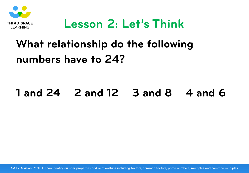

### **Lesson 2: Let's Think**

# **What relationship do the following numbers have to 24?**

#### **1 and 24 2 and 12 3 and 8 4 and 6**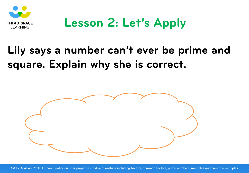

# **Lesson 2: Let's Apply**

## **Lily says a number can't ever be prime and square. Explain why she is correct.**

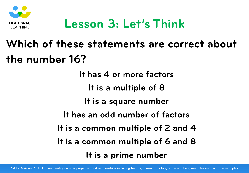

## **Lesson 3: Let's Think**

# **Which of these statements are correct about the number 16?**

**It has 4 or more factors It is a multiple of 8 It is a square number It has an odd number of factors It is a common multiple of 2 and 4 It is a common multiple of 6 and 8 It is a prime number**